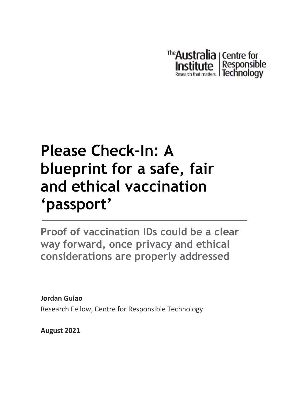

# **Please Check-In: A blueprint for a safe, fair and ethical vaccination 'passport'**

**Proof of vaccination IDs could be a clear way forward, once privacy and ethical considerations are properly addressed**

**Jordan Guiao** Research Fellow, Centre for Responsible Technology

**August 2021**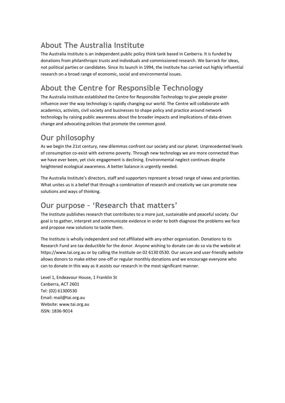### **About The Australia Institute**

The Australia Institute is an independent public policy think tank based in Canberra. It is funded by donations from philanthropic trusts and individuals and commissioned research. We barrack for ideas, not political parties or candidates. Since its launch in 1994, the Institute has carried out highly influential research on a broad range of economic, social and environmental issues.

### **About the Centre for Responsible Technology**

The Australia Institute established the Centre for Responsible Technology to give people greater influence over the way technology is rapidly changing our world. The Centre will collaborate with academics, activists, civil society and businesses to shape policy and practice around network technology by raising public awareness about the broader impacts and implications of data-driven change and advocating policies that promote the common good.

### **Our philosophy**

As we begin the 21st century, new dilemmas confront our society and our planet. Unprecedented levels of consumption co-exist with extreme poverty. Through new technology we are more connected than we have ever been, yet civic engagement is declining. Environmental neglect continues despite heightened ecological awareness. A better balance is urgently needed.

The Australia Institute's directors, staff and supporters represent a broad range of views and priorities. What unites us is a belief that through a combination of research and creativity we can promote new solutions and ways of thinking.

### **Our purpose – 'Research that matters'**

The Institute publishes research that contributes to a more just, sustainable and peaceful society. Our goal is to gather, interpret and communicate evidence in order to both diagnose the problems we face and propose new solutions to tackle them.

The Institute is wholly independent and not affiliated with any other organisation. Donations to its Research Fund are tax deductible for the donor. Anyone wishing to donate can do so via the website at https://www.tai.org.au or by calling the Institute on 02 6130 0530. Our secure and user-friendly website allows donors to make either one-off or regular monthly donations and we encourage everyone who can to donate in this way as it assists our research in the most significant manner.

Level 1, Endeavour House, 1 Franklin St Canberra, ACT 2601 Tel: (02) 61300530 Email: [mail@tai.org.au](mailto:mail@tai.org.au) Website: www.tai.org.au ISSN: 1836-9014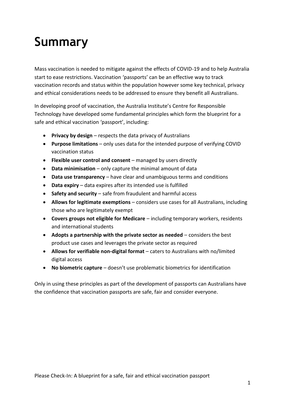## **Summary**

Mass vaccination is needed to mitigate against the effects of COVID-19 and to help Australia start to ease restrictions. Vaccination 'passports' can be an effective way to track vaccination records and status within the population however some key technical, privacy and ethical considerations needs to be addressed to ensure they benefit all Australians.

In developing proof of vaccination, the Australia Institute's Centre for Responsible Technology have developed some fundamental principles which form the blueprint for a safe and ethical vaccination 'passport', including:

- **Privacy by design** respects the data privacy of Australians
- **Purpose limitations** only uses data for the intended purpose of verifying COVID vaccination status
- **Flexible user control and consent** managed by users directly
- **Data minimisation** only capture the minimal amount of data
- **Data use transparency** have clear and unambiguous terms and conditions
- **Data expiry** data expires after its intended use is fulfilled
- **Safety and security** safe from fraudulent and harmful access
- **Allows for legitimate exemptions** considers use cases for all Australians, including those who are legitimately exempt
- **Covers groups not eligible for Medicare**  including temporary workers, residents and international students
- **Adopts a partnership with the private sector as needed**  considers the best product use cases and leverages the private sector as required
- **Allows for verifiable non-digital format** caters to Australians with no/limited digital access
- **No biometric capture** doesn't use problematic biometrics for identification

Only in using these principles as part of the development of passports can Australians have the confidence that vaccination passports are safe, fair and consider everyone.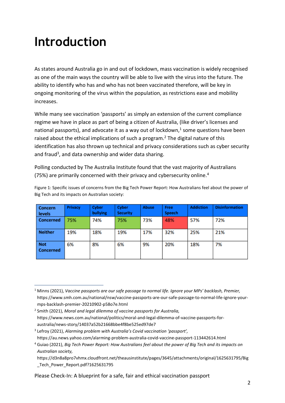## **Introduction**

As states around Australia go in and out of lockdown, mass vaccination is widely recognised as one of the main ways the country will be able to live with the virus into the future. The ability to identify who has and who has not been vaccinated therefore, will be key in ongoing monitoring of the virus within the population, as restrictions ease and mobility increases.

While many see vaccination 'passports' as simply an extension of the current compliance regime we have in place as part of being a citizen of Australia, (like driver's licenses and national passports), and advocate it as a way out of lockdown, $<sup>1</sup>$  some questions have been</sup> raised about the ethical implications of such a program.<sup>2</sup> The digital nature of this identification has also thrown up technical and privacy considerations such as cyber security and fraud<sup>3</sup>, and data ownership and wider data sharing.

Polling conducted by The Australia Institute found that the vast majority of Australians (75%) are primarily concerned with their privacy and cybersecurity online.<sup>4</sup>

| Figure 1: Specific issues of concerns from the Big Tech Power Report: How Australians feel about the power of |  |
|---------------------------------------------------------------------------------------------------------------|--|
| Big Tech and its impacts on Australian society:                                                               |  |

| <b>Concern</b><br>levels       | <b>Privacy</b> | Cyber<br>bullying | Cyber<br><b>Security</b> | <b>Abuse</b> | Free<br><b>Speech</b> | <b>Addiction</b> | <b>Disinformation</b> |
|--------------------------------|----------------|-------------------|--------------------------|--------------|-----------------------|------------------|-----------------------|
| <b>Concerned</b>               | 75%            | 74%               | 75%                      | 73%          | 48%                   | 57%              | 72%                   |
| <b>Neither</b>                 | 19%            | 18%               | 19%                      | 17%          | 32%                   | 25%              | 21%                   |
| <b>Not</b><br><b>Concerned</b> | 6%             | 8%                | 6%                       | 9%           | 20%                   | 18%              | 7%                    |

Please Check-In: A blueprint for a safe, fair and ethical vaccination passport

<sup>1</sup> Minns (2021), *Vaccine passports are our safe passage to normal life. Ignore your MPs' backlash, Premier,* https://www.smh.com.au/national/nsw/vaccine-passports-are-our-safe-passage-to-normal-life-ignore-yourmps-backlash-premier-20210902-p58o7e.html

<sup>2</sup> Smith (2021), *Moral and legal dilemma of vaccine passports for Australia,* https://www.news.com.au/national/politics/moral-and-legal-dilemma-of-vaccine-passports-foraustralia/news-story/14037a52b21668bbe4f8be525ed97de7

<sup>3</sup> Lefroy (2021), *Alarming problem with Australia's Covid vaccination 'passport',*

https://au.news.yahoo.com/alarming-problem-australia-covid-vaccine-passport-113442614.html

<sup>4</sup> Guiao (2021), *Big Tech Power Report: How Australians feel about the power of Big Tech and its impacts on Australian society,* 

https://d3n8a8pro7vhmx.cloudfront.net/theausinstitute/pages/3645/attachments/original/1625631795/Big Tech Power Report.pdf?1625631795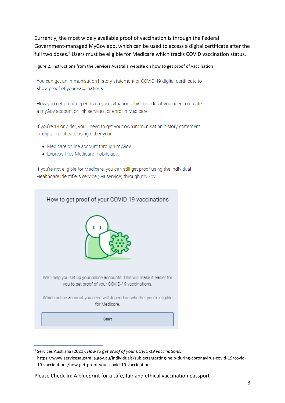Currently, the most widely available proof of vaccination is through the Federal Government-managed MyGov app, which can be used to access a digital certificate after the full two doses.<sup>5</sup> Users must be eligible for Medicare which tracks COVID vaccination status.

#### Figure 2: Instructions from the Services Australia website on how to get proof of vaccination

You can get an immunisation history statement or COVID-19 digital certificate to show proof of your vaccinations.

How you get proof depends on your situation. This includes if you need to create a myGov account or link services, or enrol in Medicare.

If you're 14 or older, you'll need to get your own immunisation history statement or digital certificate using either your:

- Medicare online account through myGov
- Express Plus Medicare mobile app.

If you're not eligible for Medicare, you can still get proof using the Individual Healthcare Identifiers service (IHI service) through myGov.



<sup>5</sup> Services Australia (2021), *How to get proof of your COVID-19 vaccinations,* https://www.servicesaustralia.gov.au/individuals/subjects/getting-help-during-coronavirus-covid-19/covid-19-vaccinations/how-get-proof-your-covid-19-vaccinations

Please Check-In: A blueprint for a safe, fair and ethical vaccination passport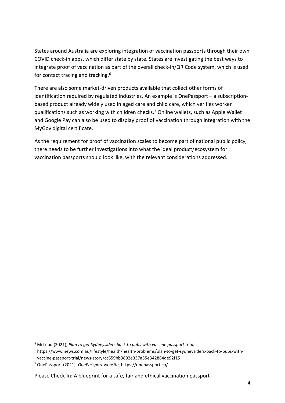States around Australia are exploring integration of vaccination passports through their own COVID check-in apps, which differ state by state. States are investigating the best ways to integrate proof of vaccination as part of the overall check-in/QR Code system, which is used for contact tracing and tracking.<sup>6</sup>

There are also some market-driven products available that collect other forms of identification required by regulated industries. An example is OnePassport – a subscriptionbased product already widely used in aged care and child care, which verifies worker qualifications such as working with children checks.<sup>7</sup> Online wallets, such as Apple Wallet and Google Pay can also be used to display proof of vaccination through integration with the MyGov digital certificate.

As the requirement for proof of vaccination scales to become part of national public policy, there needs to be further investigations into what the ideal product/ecosystem for vaccination passports should look like, with the relevant considerations addressed.

<sup>6</sup> McLeod (2021), *Plan to get Sydneysiders back to pubs with vaccine passport trial,* https://www.news.com.au/lifestyle/health/health-problems/plan-to-get-sydneysiders-back-to-pubs-withvaccine-passport-trial/news-story/cc659bb9892e337a55e342884de92f15

<sup>7</sup> OnePassport (2021), *OnePassport website*, https://onepassport.co/

Please Check-In: A blueprint for a safe, fair and ethical vaccination passport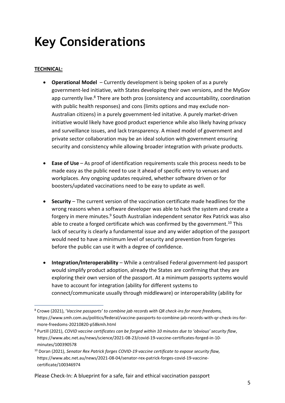### **Key Considerations**

#### **TECHNICAL:**

- **Operational Model**  Currently development is being spoken of as a purely government-led initiative, with States developing their own versions, and the MyGov app currently live.<sup>8</sup> There are both pros (consistency and accountability, coordination with public health responses) and cons (limits options and may exclude non-Australian citizens) in a purely government-led initative. A purely market-driven initiative would likely have good product experience while also likely having privacy and surveillance issues, and lack transparency. A mixed model of government and private sector collaboration may be an ideal solution with government ensuring security and consistency while allowing broader integration with private products.
- **Ease of Use**  As proof of identification requirements scale this process needs to be made easy as the public need to use it ahead of specific entry to venues and workplaces. Any ongoing updates required, whether software driven or for boosters/updated vaccinations need to be easy to update as well.
- **Security** The current version of the vaccination certificate made headlines for the wrong reasons when a software developer was able to hack the system and create a forgery in mere minutes.<sup>9</sup> South Australian independent senator Rex Patrick was also able to create a forged certificate which was confirmed by the government.<sup>10</sup> This lack of security is clearly a fundamental issue and any wider adoption of the passport would need to have a minimum level of security and prevention from forgeries before the public can use it with a degree of confidence.
- **Integration/Interoperability** While a centralised Federal government-led passport would simplify product adoption, already the States are confirming that they are exploring their own version of the passport. At a minimum passports systems would have to account for integration (ability for different systems to connect/communicate usually through middleware) or interoperability (ability for

Please Check-In: A blueprint for a safe, fair and ethical vaccination passport

<sup>8</sup> Crowe (2021), '*Vaccine passports' to combine jab records with QR check-ins for more freedoms,* https://www.smh.com.au/politics/federal/vaccine-passports-to-combine-jab-records-with-qr-check-ins-formore-freedoms-20210820-p58kmh.html

<sup>9</sup> Purtill (2021), *COVID vaccine certificates can be forged within 10 minutes due to 'obvious' security flaw*, https://www.abc.net.au/news/science/2021-08-23/covid-19-vaccine-certificates-forged-in-10 minutes/100390578

<sup>10</sup> Doran (2021), *Senator Rex Patrick forges COVID-19 vaccine certificate to expose security flaw,* https://www.abc.net.au/news/2021-08-04/senator-rex-patrick-forges-covid-19-vaccinecertificate/100346974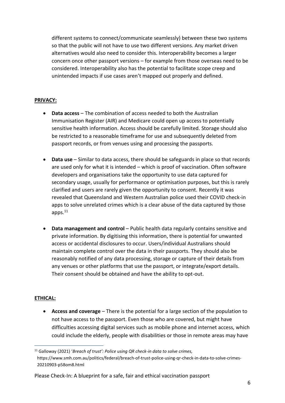different systems to connect/communicate seamlessly) between these two systems so that the public will not have to use two different versions. Any market driven alternatives would also need to consider this. Interoperability becomes a larger concern once other passport versions – for example from those overseas need to be considered. Interoperability also has the potential to facilitate scope creep and unintended impacts if use cases aren't mapped out properly and defined.

#### **PRIVACY:**

- **Data access** The combination of access needed to both the Australian Immunisation Register (AIR) and Medicare could open up access to potentially sensitive health information. Access should be carefully limited. Storage should also be restricted to a reasonable timeframe for use and subsequently deleted from passport records, or from venues using and processing the passports.
- **Data use** Similar to data access, there should be safeguards in place so that records are used only for what it is intended – which is proof of vaccination. Often software developers and organisations take the opportunity to use data captured for secondary usage, usually for performance or optimisation purposes, but this is rarely clarified and users are rarely given the opportunity to consent. Recently it was revealed that Queensland and Western Australian police used their COVID check-in apps to solve unrelated crimes which is a clear abuse of the data captured by those apps.<sup>11</sup>
- **Data management and control** Public health data regularly contains sensitive and private information. By digitising this information, there is potential for unwanted access or accidental disclosures to occur. Users/individual Australians should maintain complete control over the data in their passports. They should also be reasonably notified of any data processing, storage or capture of their details from any venues or other platforms that use the passport, or integrate/export details. Their consent should be obtained and have the ability to opt-out.

#### **ETHICAL:**

• **Access and coverage** – There is the potential for a large section of the population to not have access to the passport. Even those who are covered, but might have difficulties accessing digital services such as mobile phone and internet access, which could include the elderly, people with disabilities or those in remote areas may have

<sup>11</sup> Galloway (2021) '*Breach of trust': Police using QR check-in data to solve crimes,* https://www.smh.com.au/politics/federal/breach-of-trust-police-using-qr-check-in-data-to-solve-crimes-20210903-p58om8.html

Please Check-In: A blueprint for a safe, fair and ethical vaccination passport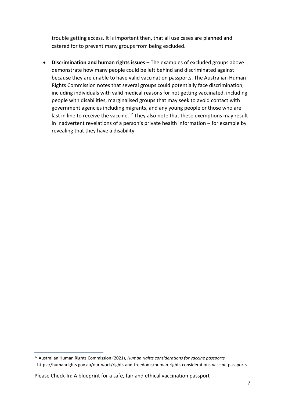trouble getting access. It is important then, that all use cases are planned and catered for to prevent many groups from being excluded.

• **Discrimination and human rights issues** – The examples of excluded groups above demonstrate how many people could be left behind and discriminated against because they are unable to have valid vaccination passports. The Australian Human Rights Commission notes that several groups could potentially face discrimination, including individuals with valid medical reasons for not getting vaccinated, including people with disabilities, marginalised groups that may seek to avoid contact with government agencies including migrants, and any young people or those who are last in line to receive the vaccine.<sup>12</sup> They also note that these exemptions may result in inadvertent revelations of a person's private health information – for example by revealing that they have a disability.

Please Check-In: A blueprint for a safe, fair and ethical vaccination passport

<sup>12</sup> Australian Human Rights Commission (2021), *Human rights considerations for vaccine passports,* https://humanrights.gov.au/our-work/rights-and-freedoms/human-rights-considerations-vaccine-passports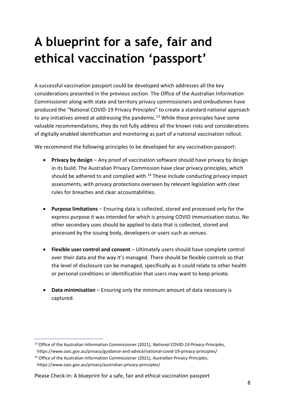## **A blueprint for a safe, fair and ethical vaccination 'passport'**

A successful vaccination passport could be developed which addresses all the key considerations presented in the previous section. The Office of the Australian Information Commissioner along with state and territory privacy commissioners and ombudsmen have produced the "National COVID-19 Privacy Principles" to create a standard national approach to any initiatives aimed at addressing the pandemic.<sup>13</sup> While these principles have some valuable recommendations, they do not fully address all the known risks and considerations of digitally enabled identification and monitoring as part of a national vaccination rollout.

We recommend the following principles to be developed for any vaccination passport:

- **Privacy by design** Any proof of vaccination software should have privacy by design in its build. The Australian Privacy Commission have clear privacy principles, which should be adhered to and complied with.<sup>14</sup> These include conducting privacy impact assessments, with privacy protections overseen by relevant legislation with clear rules for breaches and clear accountabilities.
- **Purpose limitations** Ensuring data is collected, stored and processed only for the express purpose it was intended for which is proving COVID immunisation status. No other secondary uses should be applied to data that is collected, stored and processed by the issuing body, developers or users such as venues.
- **Flexible user control and consent** Ultimately users should have complete control over their data and the way it's managed. There should be flexible controls so that the level of disclosure can be managed, specifically as it could relate to other health or personal conditions or identification that users may want to keep private.
- **Data minimisation** Ensuring only the minimum amount of data necessary is captured.

<sup>13</sup> Office of the Australian Information Commissioner (2021), *National COVID-19 Privacy Principles*, https://www.oaic.gov.au/privacy/guidance-and-advice/national-covid-19-privacy-principles/

<sup>14</sup> Office of the Australian Information Commissioner (2021), *Australian Privacy Principles*, https://www.oaic.gov.au/privacy/australian-privacy-principles/

Please Check-In: A blueprint for a safe, fair and ethical vaccination passport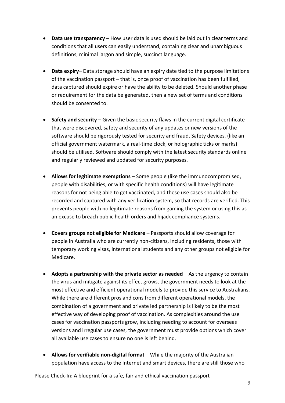- **Data use transparency** How user data is used should be laid out in clear terms and conditions that all users can easily understand, containing clear and unambiguous definitions, minimal jargon and simple, succinct language.
- **Data expiry** Data storage should have an expiry date tied to the purpose limitations of the vaccination passport – that is, once proof of vaccination has been fulfilled, data captured should expire or have the ability to be deleted. Should another phase or requirement for the data be generated, then a new set of terms and conditions should be consented to.
- **Safety and security** Given the basic security flaws in the current digital certificate that were discovered, safety and security of any updates or new versions of the software should be rigorously tested for security and fraud. Safety devices, (like an official government watermark, a real-time clock, or holographic ticks or marks) should be utilised. Software should comply with the latest security standards online and regularly reviewed and updated for security purposes.
- **Allows for legitimate exemptions** Some people (like the immunocompromised, people with disabilities, or with specific health conditions) will have legitimate reasons for not being able to get vaccinated, and these use cases should also be recorded and captured with any verification system, so that records are verified. This prevents people with no legitimate reasons from gaming the system or using this as an excuse to breach public health orders and hijack compliance systems.
- **Covers groups not eligible for Medicare**  Passports should allow coverage for people in Australia who are currently non-citizens, including residents, those with temporary working visas, international students and any other groups not eligible for Medicare.
- **Adopts a partnership with the private sector as needed**  As the urgency to contain the virus and mitigate against its effect grows, the government needs to look at the most effective and efficient operational models to provide this service to Australians. While there are different pros and cons from different operational models, the combination of a government and private led partnership is likely to be the most effective way of developing proof of vaccination. As complexities around the use cases for vaccination passports grow, including needing to account for overseas versions and irregular use cases, the government must provide options which cover all available use cases to ensure no one is left behind.
- **Allows for verifiable non-digital format** While the majority of the Australian population have access to the Internet and smart devices, there are still those who

Please Check-In: A blueprint for a safe, fair and ethical vaccination passport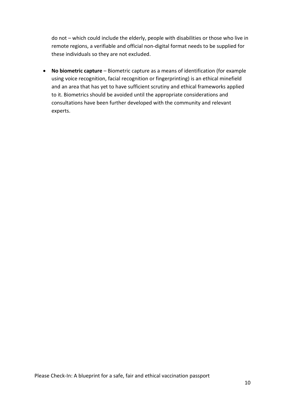do not – which could include the elderly, people with disabilities or those who live in remote regions, a verifiable and official non-digital format needs to be supplied for these individuals so they are not excluded.

• **No biometric capture** – Biometric capture as a means of identification (for example using voice recognition, facial recognition or fingerprinting) is an ethical minefield and an area that has yet to have sufficient scrutiny and ethical frameworks applied to it. Biometrics should be avoided until the appropriate considerations and consultations have been further developed with the community and relevant experts.